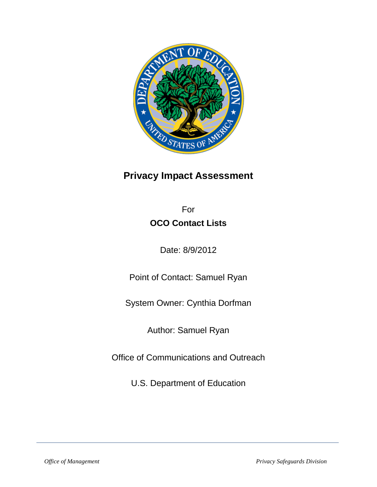

# **Privacy Impact Assessment**

For **OCO Contact Lists** 

Date: 8/9/2012

Point of Contact: Samuel Ryan

System Owner: Cynthia Dorfman

Author: Samuel Ryan

Office of Communications and Outreach

U.S. Department of Education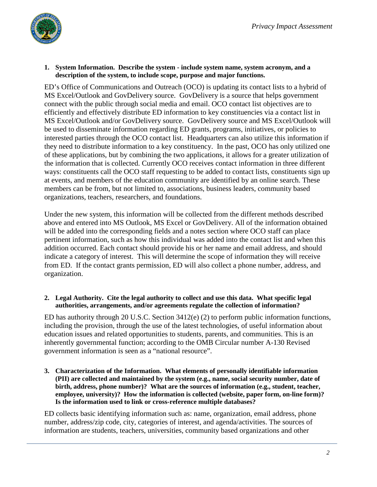### **1. System Information. Describe the system - include system name, system acronym, and a description of the system, to include scope, purpose and major functions.**

ED's Office of Communications and Outreach (OCO) is updating its contact lists to a hybrid of MS Excel/Outlook and GovDelivery source. GovDelivery is a source that helps government connect with the public through social media and email. OCO contact list objectives are to efficiently and effectively distribute ED information to key constituencies via a contact list in MS Excel/Outlook and/or GovDelivery source. GovDelivery source and MS Excel/Outlook will be used to disseminate information regarding ED grants, programs, initiatives, or policies to interested parties through the OCO contact list. Headquarters can also utilize this information if they need to distribute information to a key constituency. In the past, OCO has only utilized one of these applications, but by combining the two applications, it allows for a greater utilization of the information that is collected. Currently OCO receives contact information in three different ways: constituents call the OCO staff requesting to be added to contact lists, constituents sign up at events, and members of the education community are identified by an online search. These members can be from, but not limited to, associations, business leaders, community based organizations, teachers, researchers, and foundations.

Under the new system, this information will be collected from the different methods described above and entered into MS Outlook, MS Excel or GovDelivery. All of the information obtained will be added into the corresponding fields and a notes section where OCO staff can place pertinent information, such as how this individual was added into the contact list and when this addition occurred. Each contact should provide his or her name and email address, and should indicate a category of interest. This will determine the scope of information they will receive from ED. If the contact grants permission, ED will also collect a phone number, address, and organization.

## **2. Legal Authority. Cite the legal authority to collect and use this data. What specific legal authorities, arrangements, and/or agreements regulate the collection of information?**

ED has authority through 20 U.S.C. Section 3412(e) (2) to perform public information functions, including the provision, through the use of the latest technologies, of useful information about education issues and related opportunities to students, parents, and communities. This is an inherently governmental function; according to the OMB Circular number A-130 Revised government information is seen as a "national resource".

**3. Characterization of the Information. What elements of personally identifiable information (PII) are collected and maintained by the system (e.g., name, social security number, date of birth, address, phone number)? What are the sources of information (e.g., student, teacher, employee, university)? How the information is collected (website, paper form, on-line form)? Is the information used to link or cross-reference multiple databases?**

ED collects basic identifying information such as: name, organization, email address, phone number, address/zip code, city, categories of interest, and agenda/activities. The sources of information are students, teachers, universities, community based organizations and other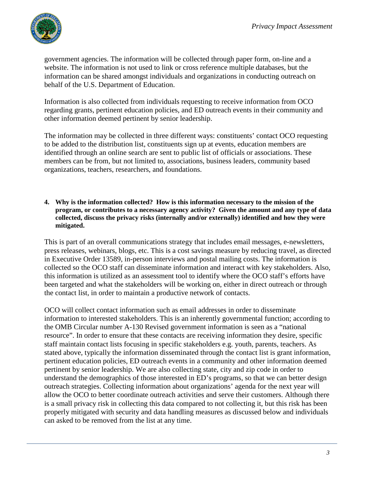

government agencies. The information will be collected through paper form, on-line and a website. The information is not used to link or cross reference multiple databases, but the information can be shared amongst individuals and organizations in conducting outreach on behalf of the U.S. Department of Education.

Information is also collected from individuals requesting to receive information from OCO regarding grants, pertinent education policies, and ED outreach events in their community and other information deemed pertinent by senior leadership.

The information may be collected in three different ways: constituents' contact OCO requesting to be added to the distribution list, constituents sign up at events, education members are identified through an online search are sent to public list of officials or associations. These members can be from, but not limited to, associations, business leaders, community based organizations, teachers, researchers, and foundations.

**4. Why is the information collected? How is this information necessary to the mission of the program, or contributes to a necessary agency activity? Given the amount and any type of data collected, discuss the privacy risks (internally and/or externally) identified and how they were mitigated.**

This is part of an overall communications strategy that includes email messages, e-newsletters, press releases, webinars, blogs, etc. This is a cost savings measure by reducing travel, as directed in Executive Order 13589, in-person interviews and postal mailing costs. The information is collected so the OCO staff can disseminate information and interact with key stakeholders. Also, this information is utilized as an assessment tool to identify where the OCO staff's efforts have been targeted and what the stakeholders will be working on, either in direct outreach or through the contact list, in order to maintain a productive network of contacts.

OCO will collect contact information such as email addresses in order to disseminate information to interested stakeholders. This is an inherently governmental function; according to the OMB Circular number A-130 Revised government information is seen as a "national resource". In order to ensure that these contacts are receiving information they desire, specific staff maintain contact lists focusing in specific stakeholders e.g. youth, parents, teachers. As stated above, typically the information disseminated through the contact list is grant information, pertinent education policies, ED outreach events in a community and other information deemed pertinent by senior leadership. We are also collecting state, city and zip code in order to understand the demographics of those interested in ED's programs, so that we can better design outreach strategies. Collecting information about organizations' agenda for the next year will allow the OCO to better coordinate outreach activities and serve their customers. Although there is a small privacy risk in collecting this data compared to not collecting it, but this risk has been properly mitigated with security and data handling measures as discussed below and individuals can asked to be removed from the list at any time.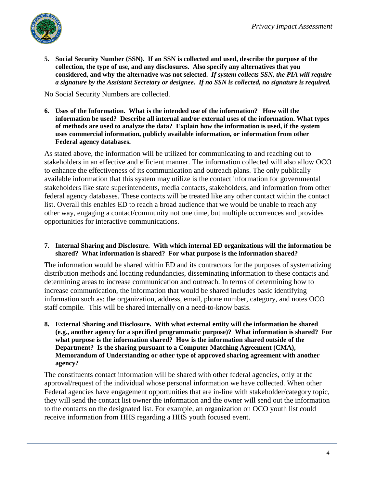

**5. Social Security Number (SSN). If an SSN is collected and used, describe the purpose of the collection, the type of use, and any disclosures. Also specify any alternatives that you considered, and why the alternative was not selected.** *If system collects SSN, the PIA will require a signature by the Assistant Secretary or designee. If no SSN is collected, no signature is required.*

No Social Security Numbers are collected.

**6. Uses of the Information. What is the intended use of the information? How will the information be used? Describe all internal and/or external uses of the information. What types of methods are used to analyze the data? Explain how the information is used, if the system uses commercial information, publicly available information, or information from other Federal agency databases.**

As stated above, the information will be utilized for communicating to and reaching out to stakeholders in an effective and efficient manner. The information collected will also allow OCO to enhance the effectiveness of its communication and outreach plans. The only publically available information that this system may utilize is the contact information for governmental stakeholders like state superintendents, media contacts, stakeholders, and information from other federal agency databases. These contacts will be treated like any other contact within the contact list. Overall this enables ED to reach a broad audience that we would be unable to reach any other way, engaging a contact/community not one time, but multiple occurrences and provides opportunities for interactive communications.

**7. Internal Sharing and Disclosure. With which internal ED organizations will the information be shared? What information is shared? For what purpose is the information shared?**

The information would be shared within ED and its contractors for the purposes of systematizing distribution methods and locating redundancies, disseminating information to these contacts and determining areas to increase communication and outreach. In terms of determining how to increase communication, the information that would be shared includes basic identifying information such as: the organization, address, email, phone number, category, and notes OCO staff compile. This will be shared internally on a need-to-know basis.

**8. External Sharing and Disclosure. With what external entity will the information be shared (e.g., another agency for a specified programmatic purpose)? What information is shared? For what purpose is the information shared? How is the information shared outside of the Department? Is the sharing pursuant to a Computer Matching Agreement (CMA), Memorandum of Understanding or other type of approved sharing agreement with another agency?**

The constituents contact information will be shared with other federal agencies, only at the approval/request of the individual whose personal information we have collected. When other Federal agencies have engagement opportunities that are in-line with stakeholder/category topic, they will send the contact list owner the information and the owner will send out the information to the contacts on the designated list. For example, an organization on OCO youth list could receive information from HHS regarding a HHS youth focused event.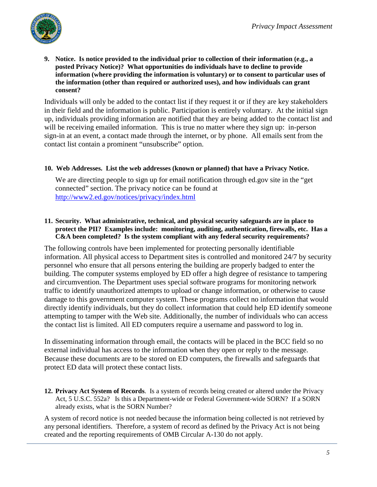

**9. Notice. Is notice provided to the individual prior to collection of their information (e.g., a posted Privacy Notice)? What opportunities do individuals have to decline to provide information (where providing the information is voluntary) or to consent to particular uses of the information (other than required or authorized uses), and how individuals can grant consent?** 

Individuals will only be added to the contact list if they request it or if they are key stakeholders in their field and the information is public. Participation is entirely voluntary. At the initial sign up, individuals providing information are notified that they are being added to the contact list and will be receiving emailed information. This is true no matter where they sign up: in-person sign-in at an event, a contact made through the internet, or by phone. All emails sent from the contact list contain a prominent "unsubscribe" option.

### **10. Web Addresses. List the web addresses (known or planned) that have a Privacy Notice.**

We are directing people to sign up for email notification through ed.gov site in the "get connected" section. The privacy notice can be found at <http://www2.ed.gov/notices/privacy/index.html>

## **11. Security. What administrative, technical, and physical security safeguards are in place to protect the PII? Examples include: monitoring, auditing, authentication, firewalls, etc. Has a C&A been completed? Is the system compliant with any federal security requirements?**

The following controls have been implemented for protecting personally identifiable information. All physical access to Department sites is controlled and monitored 24/7 by security personnel who ensure that all persons entering the building are properly badged to enter the building. The computer systems employed by ED offer a high degree of resistance to tampering and circumvention. The Department uses special software programs for monitoring network traffic to identify unauthorized attempts to upload or change information, or otherwise to cause damage to this government computer system. These programs collect no information that would directly identify individuals, but they do collect information that could help ED identify someone attempting to tamper with the Web site. Additionally, the number of individuals who can access the contact list is limited. All ED computers require a username and password to log in.

In disseminating information through email, the contacts will be placed in the BCC field so no external individual has access to the information when they open or reply to the message. Because these documents are to be stored on ED computers, the firewalls and safeguards that protect ED data will protect these contact lists.

**12. Privacy Act System of Records**. Is a system of records being created or altered under the Privacy Act, 5 U.S.C. 552a? Is this a Department-wide or Federal Government-wide SORN? If a SORN already exists, what is the SORN Number?

A system of record notice is not needed because the information being collected is not retrieved by any personal identifiers. Therefore, a system of record as defined by the Privacy Act is not being created and the reporting requirements of OMB Circular A-130 do not apply.